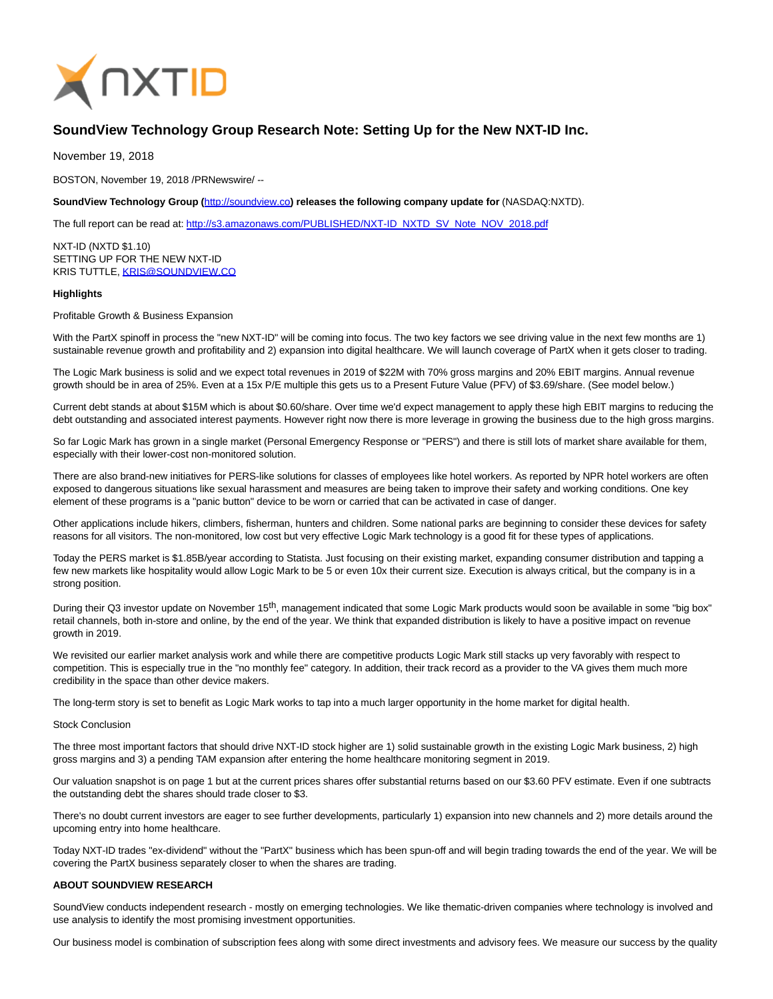

# **SoundView Technology Group Research Note: Setting Up for the New NXT-ID Inc.**

November 19, 2018

BOSTON, November 19, 2018 /PRNewswire/ --

**SoundView Technology Group (**[http://soundview.co](http://soundview.co/)**) releases the following company update for** (NASDAQ:NXTD).

The full report can be read at: [http://s3.amazonaws.com/PUBLISHED/NXT-ID\\_NXTD\\_SV\\_Note\\_NOV\\_2018.pdf](http://s3.amazonaws.com/PUBLISHED/NXT-ID_NXTD_SV_Note_NOV_2018.pdf)

NXT-ID (NXTD \$1.10) SETTING UP FOR THE NEW NXT-ID KRIS TUTTLE[, KRIS@SOUNDVIEW.CO](mailto:KRIS@SOUNDVIEW.CO)

### **Highlights**

Profitable Growth & Business Expansion

With the PartX spinoff in process the "new NXT-ID" will be coming into focus. The two key factors we see driving value in the next few months are 1) sustainable revenue growth and profitability and 2) expansion into digital healthcare. We will launch coverage of PartX when it gets closer to trading.

The Logic Mark business is solid and we expect total revenues in 2019 of \$22M with 70% gross margins and 20% EBIT margins. Annual revenue growth should be in area of 25%. Even at a 15x P/E multiple this gets us to a Present Future Value (PFV) of \$3.69/share. (See model below.)

Current debt stands at about \$15M which is about \$0.60/share. Over time we'd expect management to apply these high EBIT margins to reducing the debt outstanding and associated interest payments. However right now there is more leverage in growing the business due to the high gross margins.

So far Logic Mark has grown in a single market (Personal Emergency Response or "PERS") and there is still lots of market share available for them, especially with their lower-cost non-monitored solution.

There are also brand-new initiatives for PERS-like solutions for classes of employees like hotel workers. As reported by NPR hotel workers are often exposed to dangerous situations like sexual harassment and measures are being taken to improve their safety and working conditions. One key element of these programs is a "panic button" device to be worn or carried that can be activated in case of danger.

Other applications include hikers, climbers, fisherman, hunters and children. Some national parks are beginning to consider these devices for safety reasons for all visitors. The non-monitored, low cost but very effective Logic Mark technology is a good fit for these types of applications.

Today the PERS market is \$1.85B/year according to Statista. Just focusing on their existing market, expanding consumer distribution and tapping a few new markets like hospitality would allow Logic Mark to be 5 or even 10x their current size. Execution is always critical, but the company is in a strong position.

During their Q3 investor update on November 15<sup>th</sup>, management indicated that some Logic Mark products would soon be available in some "big box" retail channels, both in-store and online, by the end of the year. We think that expanded distribution is likely to have a positive impact on revenue growth in 2019.

We revisited our earlier market analysis work and while there are competitive products Logic Mark still stacks up very favorably with respect to competition. This is especially true in the "no monthly fee" category. In addition, their track record as a provider to the VA gives them much more credibility in the space than other device makers.

The long-term story is set to benefit as Logic Mark works to tap into a much larger opportunity in the home market for digital health.

### Stock Conclusion

The three most important factors that should drive NXT-ID stock higher are 1) solid sustainable growth in the existing Logic Mark business, 2) high gross margins and 3) a pending TAM expansion after entering the home healthcare monitoring segment in 2019.

Our valuation snapshot is on page 1 but at the current prices shares offer substantial returns based on our \$3.60 PFV estimate. Even if one subtracts the outstanding debt the shares should trade closer to \$3.

There's no doubt current investors are eager to see further developments, particularly 1) expansion into new channels and 2) more details around the upcoming entry into home healthcare.

Today NXT-ID trades "ex-dividend" without the "PartX" business which has been spun-off and will begin trading towards the end of the year. We will be covering the PartX business separately closer to when the shares are trading.

### **ABOUT SOUNDVIEW RESEARCH**

SoundView conducts independent research - mostly on emerging technologies. We like thematic-driven companies where technology is involved and use analysis to identify the most promising investment opportunities.

Our business model is combination of subscription fees along with some direct investments and advisory fees. We measure our success by the quality